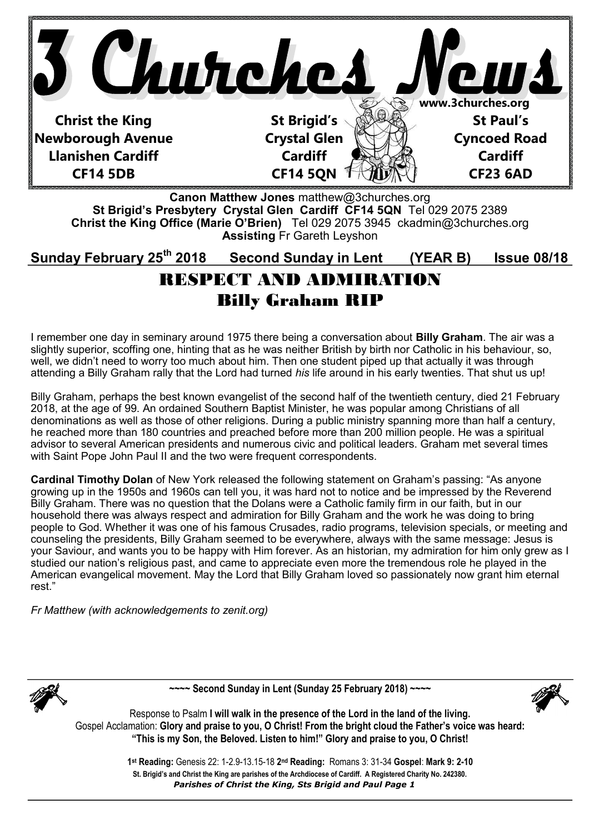

**St Brigid's Presbytery Crystal Glen Cardiff CF14 5QN** Tel 029 2075 2389 **Christ the King Office (Marie O'Brien)** Tel 029 2075 3945 ckadmin@3churches.org **Assisting** Fr Gareth Leyshon

# RESPECT AND ADMIRATION Billy Graham RIP **Sunday February 25th 2018 Second Sunday in Lent (YEAR B) Issue 08/18**

I remember one day in seminary around 1975 there being a conversation about **Billy Graham**. The air was a slightly superior, scoffing one, hinting that as he was neither British by birth nor Catholic in his behaviour, so, well, we didn't need to worry too much about him. Then one student piped up that actually it was through attending a Billy Graham rally that the Lord had turned *his* life around in his early twenties. That shut us up!

Billy Graham, perhaps the best known evangelist of the second half of the twentieth century, died 21 February 2018, at the age of 99. An ordained Southern Baptist Minister, he was popular among Christians of all denominations as well as those of other religions. During a public ministry spanning more than half a century, he reached more than 180 countries and preached before more than 200 million people. He was a spiritual advisor to several American presidents and numerous civic and political leaders. Graham met several times with Saint Pope John Paul II and the two were frequent correspondents.

**Cardinal Timothy Dolan** of New York released the following statement on Graham's passing: "As anyone growing up in the 1950s and 1960s can tell you, it was hard not to notice and be impressed by the Reverend Billy Graham. There was no question that the Dolans were a Catholic family firm in our faith, but in our household there was always respect and admiration for Billy Graham and the work he was doing to bring people to God. Whether it was one of his famous Crusades, radio programs, television specials, or meeting and counseling the presidents, Billy Graham seemed to be everywhere, always with the same message: Jesus is your Saviour, and wants you to be happy with Him forever. As an historian, my admiration for him only grew as I studied our nation's religious past, and came to appreciate even more the tremendous role he played in the American evangelical movement. May the Lord that Billy Graham loved so passionately now grant him eternal rest."

*Fr Matthew (with acknowledgements to zenit.org)*



**~~~~ Second Sunday in Lent (Sunday 25 February 2018) ~~~~** 



Response to Psalm **I will walk in the presence of the Lord in the land of the living.**  Gospel Acclamation: **Glory and praise to you, O Christ! From the bright cloud the Father's voice was heard: "This is my Son, the Beloved. Listen to him!" Glory and praise to you, O Christ!** 

> *Parishes of Christ the King, Sts Brigid and Paul Page 1* **St. Brigid's and Christ the King are parishes of the Archdiocese of Cardiff. A Registered Charity No. 242380. 1 st Reading:** Genesis 22: 1-2.9-13.15-18 **2nd Reading:** Romans 3: 31-34 **Gospel**: **Mark 9: 2-10**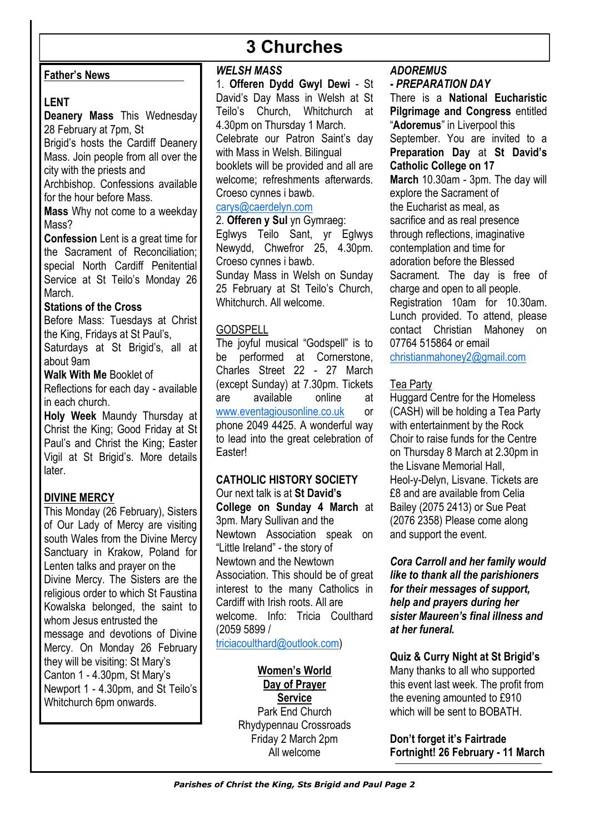# **3 Churches**

#### **Father's News**

#### **LENT**

**Deanery Mass** This Wednesday 28 February at 7pm, St Brigid's hosts the Cardiff Deanery Mass. Join people from all over the

city with the priests and Archbishop. Confessions available

for the hour before Mass.

**Mass** Why not come to a weekday Mass?

**Confession** Lent is a great time for the Sacrament of Reconciliation; special North Cardiff Penitential Service at St Teilo's Monday 26 March.

#### **Stations of the Cross**

Before Mass: Tuesdays at Christ the King, Fridays at St Paul's,

Saturdays at St Brigid's, all at about 9am

#### **Walk With Me** Booklet of

Reflections for each day - available in each church.

**Holy Week** Maundy Thursday at Christ the King; Good Friday at St Paul's and Christ the King; Easter Vigil at St Brigid's. More details later.

#### **DIVINE MERCY**

This Monday ( $26$  February), Sisters of Our Lady of Mercy are visiting south Wales from the Divine Mercy Sanctuary in Krakow, Poland for Lenten talks and prayer on the Divine Mercy. The Sisters are the religious order to which St Faustina Kowalska belonged, the saint to whom Jesus entrusted the message and devotions of Divine Mercy. On Monday 26 February they will be visiting: St Mary's Canton 1 - 4.30pm, St Mary's Newport 1 - 4.30pm, and St Teilo's Whitchurch 6pm onwards.

#### *WELSH MASS*

1. **Offeren Dydd Gwyl Dewi** - St David's Day Mass in Welsh at St Teilo's Church, Whitchurch at 4.30pm on Thursday 1 March. Celebrate our Patron Saint's day with Mass in Welsh. Bilingual booklets will be provided and all are welcome; refreshments afterwards. Croeso cynnes i bawb.

### carys@caerdelyn.com

2. **Offeren y Sul** yn Gymraeg: Eglwys Teilo Sant, yr Eglwys Newydd, Chwefror 25, 4.30pm. Croeso cynnes i bawb. Sunday Mass in Welsh on Sunday 25 February at St Teilo's Church, Whitchurch. All welcome.

#### **GODSPELL**

The joyful musical "Godspell" is to be performed at Cornerstone, Charles Street 22 - 27 March (except Sunday) at 7.30pm. Tickets are available online at www.eventagiousonline.co.uk or phone 2049 4425. A wonderful way to lead into the great celebration of Easter!

#### **CATHOLIC HISTORY SOCIETY**

Our next talk is at **St David's College on Sunday 4 March** at 3pm. Mary Sullivan and the Newtown Association speak on "Little Ireland" - the story of Newtown and the Newtown Association. This should be of great interest to the many Catholics in Cardiff with Irish roots. All are welcome. Info: Tricia Coulthard (2059 5899 /

triciacoulthard@outlook.com)

#### **Women's World Day of Prayer**

**Service**  Park End Church Rhydypennau Crossroads Friday 2 March 2pm All welcome

#### *ADOREMUS - PREPARATION DAY*

There is a **National Eucharistic Pilgrimage and Congress** entitled "**Adoremus**" in Liverpool this September. You are invited to a **Preparation Day** at **St David's Catholic College on 17 March** 10.30am - 3pm. The day will explore the Sacrament of the Eucharist as meal, as sacrifice and as real presence through reflections, imaginative contemplation and time for adoration before the Blessed Sacrament. The day is free of charge and open to all people. Registration 10am for 10.30am. Lunch provided. To attend, please contact Christian Mahoney on 07764 515864 or email christianmahoney2@gmail.com

#### Tea Party

Huggard Centre for the Homeless (CASH) will be holding a Tea Party with entertainment by the Rock Choir to raise funds for the Centre on Thursday 8 March at 2.30pm in the Lisvane Memorial Hall, Heol-y-Delyn, Lisvane. Tickets are £8 and are available from Celia Bailey (2075 2413) or Sue Peat (2076 2358) Please come along and support the event.

*Cora Carroll and her family would like to thank all the parishioners for their messages of support, help and prayers during her sister Maureen's final illness and at her funeral.* 

#### **Quiz & Curry Night at St Brigid's**

Many thanks to all who supported this event last week. The profit from the evening amounted to £910 which will be sent to BOBATH.

**Don't forget it's Fairtrade Fortnight! 26 February - 11 March**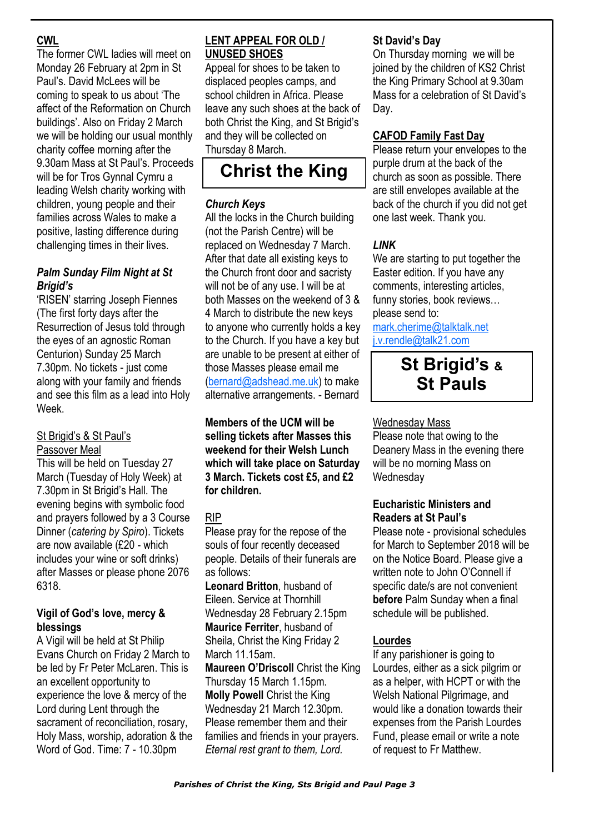#### **CWL**

The former CWL ladies will meet on Monday 26 February at 2pm in St Paul's. David McLees will be coming to speak to us about 'The affect of the Reformation on Church buildings'. Also on Friday 2 March we will be holding our usual monthly charity coffee morning after the 9.30am Mass at St Paul's. Proceeds will be for Tros Gynnal Cymru a leading Welsh charity working with children, young people and their families across Wales to make a positive, lasting difference during challenging times in their lives.

#### *Palm Sunday Film Night at St Brigid's*

'RISEN' starring Joseph Fiennes (The first forty days after the Resurrection of Jesus told through the eyes of an agnostic Roman Centurion) Sunday 25 March 7.30pm. No tickets - just come along with your family and friends and see this film as a lead into Holy Week.

#### St Brigid's & St Paul's Passover Meal

This will be held on Tuesday 27 March (Tuesday of Holy Week) at 7.30pm in St Brigid's Hall. The evening begins with symbolic food and prayers followed by a 3 Course Dinner (*catering by Spiro*). Tickets are now available (£20 - which includes your wine or soft drinks) after Masses or please phone 2076 6318.

#### **Vigil of God's love, mercy & blessings**

A Vigil will be held at St Philip Evans Church on Friday 2 March to be led by Fr Peter McLaren. This is an excellent opportunity to experience the love & mercy of the Lord during Lent through the sacrament of reconciliation, rosary, Holy Mass, worship, adoration & the Word of God. Time: 7 - 10.30pm

#### **LENT APPEAL FOR OLD / UNUSED SHOES**

Appeal for shoes to be taken to displaced peoples camps, and school children in Africa. Please leave any such shoes at the back of both Christ the King, and St Brigid's and they will be collected on Thursday 8 March.

# **Christ the King**

#### *Church Keys*

All the locks in the Church building (not the Parish Centre) will be replaced on Wednesday 7 March. After that date all existing keys to the Church front door and sacristy will not be of any use. I will be at both Masses on the weekend of 3 & 4 March to distribute the new keys to anyone who currently holds a key to the Church. If you have a key but are unable to be present at either of those Masses please email me (bernard@adshead.me.uk) to make alternative arrangements. - Bernard

**Members of the UCM will be selling tickets after Masses this weekend for their Welsh Lunch which will take place on Saturday 3 March. Tickets cost £5, and £2 for children.** 

#### RIP

Please pray for the repose of the souls of four recently deceased people. Details of their funerals are as follows:

**Leonard Britton**, husband of Eileen. Service at Thornhill Wednesday 28 February 2.15pm **Maurice Ferriter**, husband of Sheila, Christ the King Friday 2 March 11.15am.

**Maureen O'Driscoll** Christ the King Thursday 15 March 1.15pm. **Molly Powell** Christ the King Wednesday 21 March 12.30pm. Please remember them and their families and friends in your prayers. *Eternal rest grant to them, Lord.* 

#### **St David's Day**

On Thursday morning we will be joined by the children of KS2 Christ the King Primary School at 9.30am Mass for a celebration of St David's Day.

#### **CAFOD Family Fast Day**

Please return your envelopes to the purple drum at the back of the church as soon as possible. There are still envelopes available at the back of the church if you did not get one last week. Thank you.

#### *LINK*

We are starting to put together the Easter edition. If you have any comments, interesting articles, funny stories, book reviews… please send to:

mark.cherime@talktalk.net j.v.rendle@talk21.com

# **St Brigid's & St Pauls**

#### Wednesday Mass

Please note that owing to the Deanery Mass in the evening there will be no morning Mass on **Wednesday** 

#### **Eucharistic Ministers and Readers at St Paul's**

Please note - provisional schedules for March to September 2018 will be on the Notice Board. Please give a written note to John O'Connell if specific date/s are not convenient **before** Palm Sunday when a final schedule will be published.

#### **Lourdes**

If any parishioner is going to Lourdes, either as a sick pilgrim or as a helper, with HCPT or with the Welsh National Pilgrimage, and would like a donation towards their expenses from the Parish Lourdes Fund, please email or write a note of request to Fr Matthew.